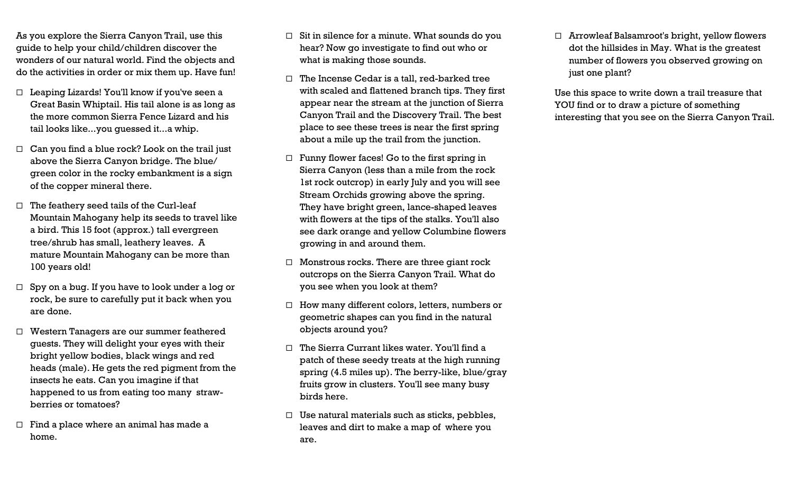As you explore the Sierra Canyon Trail, use this guide to help your child/children discover the wonders of our natural world. Find the objects and do the activities in order or mix them up. Have fun!

- $\Box$  Leaping Lizards! You'll know if you've seen a Great Basin Whiptail. His tail alone is as long as the more common Sierra Fence Lizard and his tail looks like...you guessed it...a whip.
- $\Box$  Can you find a blue rock? Look on the trail just above the Sierra Canyon bridge. The blue/ green color in the rocky embankment is a sign of the copper mineral there.
- $\Box$  The feathery seed tails of the Curl-leaf Mountain Mahogany help its seeds to travel like a bird. This 15 foot (approx.) tall evergreen tree/shrub has small, leathery leaves. A mature Mountain Mahogany can be more than 100 years old!
- $\Box$  Spy on a bug. If you have to look under a log or rock, be sure to carefully put it back when you are done.
- Western Tanagers are our summer feathered guests. They will delight your eyes with their bright yellow bodies, black wings and red heads (male). He gets the red pigment from the insects he eats. Can you imagine if that happened to us from eating too many strawberries or tomatoes?
- $\Box$  Find a place where an animal has made a home.
- $\Box$  Sit in silence for a minute. What sounds do you hear? Now go investigate to find out who or what is making those sounds.
- $\Box$  The Incense Cedar is a tall, red-barked tree with scaled and flattened branch tips. They first appear near the stream at the junction of Sierra Canyon Trail and the Discovery Trail. The best place to see these trees is near the first spring about a mile up the trail from the junction.
- $\Box$  Funny flower faces! Go to the first spring in Sierra Canyon (less than a mile from the rock 1st rock outcrop) in early July and you will see Stream Orchids growing above the spring. They have bright green, lance-shaped leaves with flowers at the tips of the stalks. You'll also see dark orange and yellow Columbine flowers growing in and around them.
- $\Box$  Monstrous rocks. There are three giant rock outcrops on the Sierra Canyon Trail. What do you see when you look at them?
- $\Box$  How many different colors, letters, numbers or geometric shapes can you find in the natural objects around you?
- $\Box$  The Sierra Currant likes water. You'll find a patch of these seedy treats at the high running spring (4.5 miles up). The berry-like, blue/gray fruits grow in clusters. You'll see many busy birds here.
- $\Box$  Use natural materials such as sticks, pebbles, leaves and dirt to make a map of where you are.

 Arrowleaf Balsamroot's bright, yellow flowers dot the hillsides in May. What is the greatest number of flowers you observed growing on just one plant?

Use this space to write down a trail treasure that YOU find or to draw a picture of something interesting that you see on the Sierra Canyon Trail.